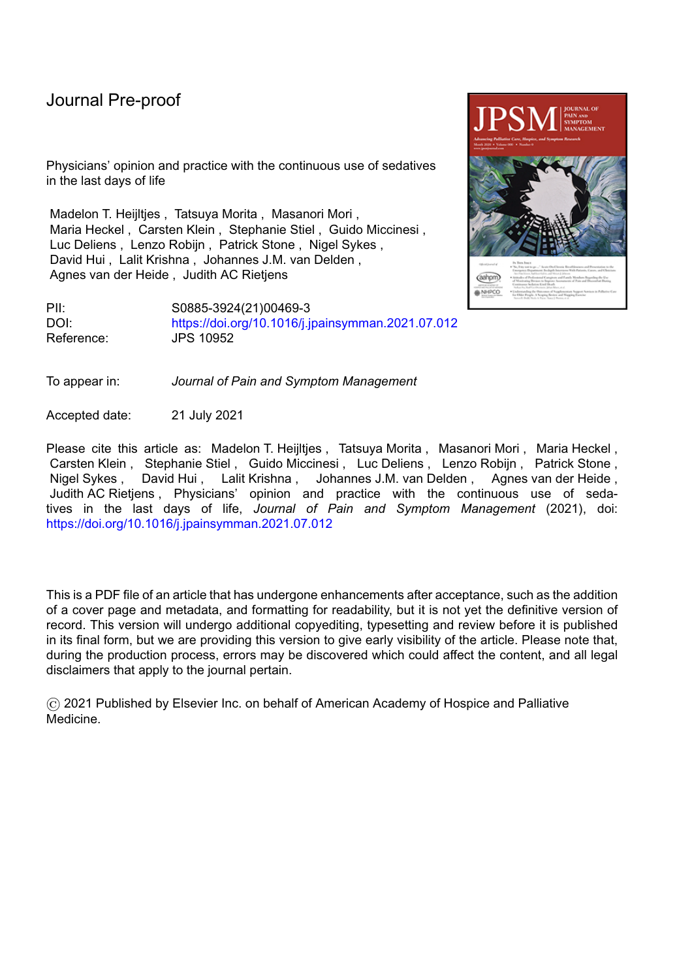Physicians' opinion and practice with the continuous use of sedatives in the last days of life

Madelon T. Heijltjes , Tatsuya Morita , Masanori Mori , Maria Heckel , Carsten Klein , Stephanie Stiel , Guido Miccinesi , Luc Deliens , Lenzo Robijn , Patrick Stone , Nigel Sykes , David Hui , Lalit Krishna , Johannes J.M. van Delden , Agnes van der Heide , Judith AC Rietjens

PII: S0885-3924(21)00469-3 DOI: <https://doi.org/10.1016/j.jpainsymman.2021.07.012> Reference: JPS 10952

To appear in: *Journal of Pain and Symptom Management*

Accepted date: 21 July 2021

Please cite this article as: Madelon T. Heijltjes, Tatsuya Morita, Masanori Mori, Maria Heckel, Carsten Klein , Stephanie Stiel , Guido Miccinesi , Luc Deliens , Lenzo Robijn , Patrick Stone , Nigel Sykes , David Hui , Lalit Krishna , Johannes J.M. van Delden , Agnes van der Heide , Judith AC Rietjens , Physicians' opinion and practice with the continuous use of sedatives in the last days of life, *Journal of Pain and Symptom Management* (2021), doi: <https://doi.org/10.1016/j.jpainsymman.2021.07.012>

This is a PDF file of an article that has undergone enhancements after acceptance, such as the addition of a cover page and metadata, and formatting for readability, but it is not yet the definitive version of record. This version will undergo additional copyediting, typesetting and review before it is published in its final form, but we are providing this version to give early visibility of the article. Please note that, during the production process, errors may be discovered which could affect the content, and all legal disclaimers that apply to the journal pertain.

© 2021 Published by Elsevier Inc. on behalf of American Academy of Hospice and Palliative Medicine.

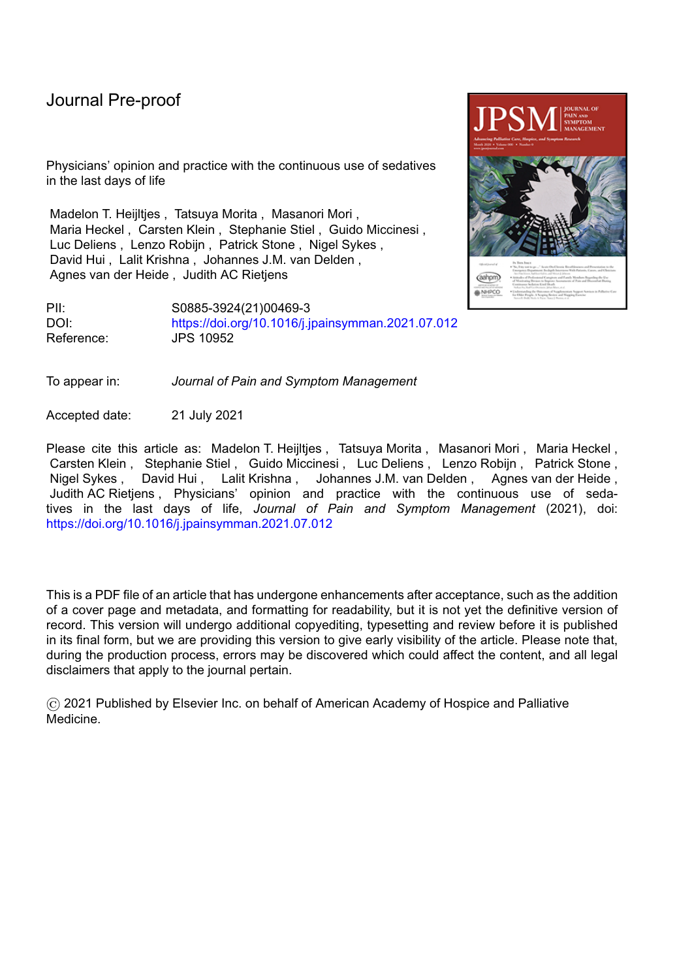**Title: Physicians' opinion and practice with the continuous use of sedatives in the last days of life**

**Running title:** The continuous use of sedatives in the last days of life

**Key message:** This questionnaire study among physicians caring for terminally ill patients showed that many considered the continuous use of sedatives acceptable to relieve physical and psycho-existential suffering in the last days of life. Respondents' regarded the practice as less acceptable in patients with a longer life expectancy.

**Key words:** questionnaire study, palliative sedation, deep sedation, continuous use of sedatives, palliative care, end of life care

**Authors:** Madelon T. Heijltjes, Tatsuya Morita, Masanori Mori, Maria Heckel, Carsten Klein, Stephanie Stiel, Guido Miccinesi, Luc Deliens, Lenzo Robijn, Patrick Stone, Nigel Sykes, David Hui, Lalit Krishna, Johannes J.M. van Delden, Agnes van der Heide, Judith AC Rietjens

**Corresponding author:** Madelon Heijltjes, m.t.heijltjes-2@umcutrecht.nl, +31 88 7568194 Department of Medical Humanities, UMC Utrecht, Julius Center. PO Box 85500 3508 GA Utrecht, The **Netherlands** 

**Conflicts of interest:** all authors declare that they have no conflicts of interest

Journal of Pain and Symptom Management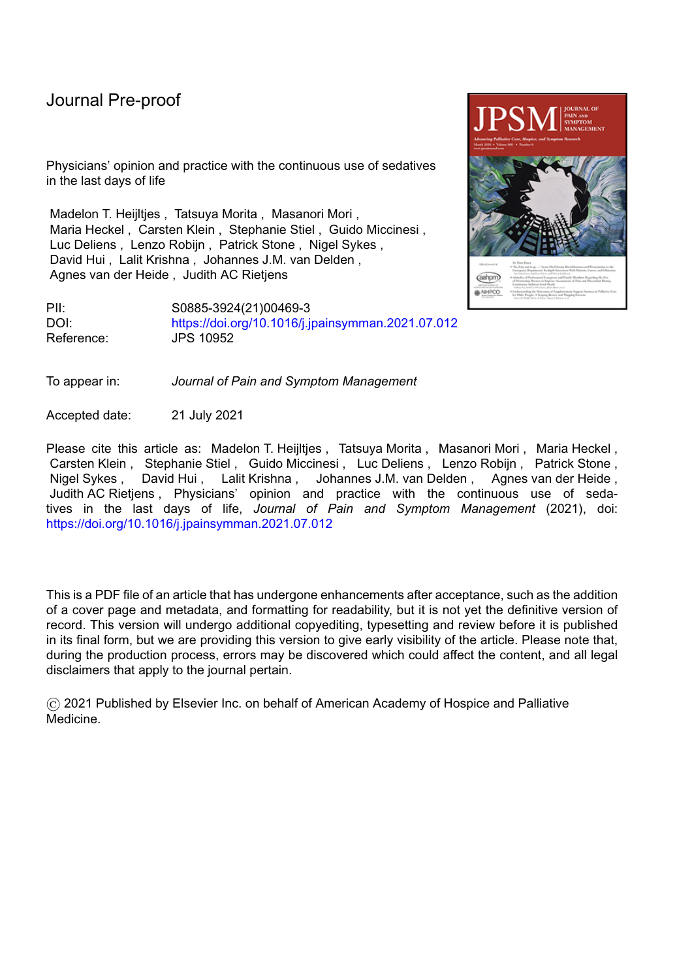#### **Abstract**

Context: There are few international studies about the continuous use of sedatives (CUS) in the last days of life.

Objectives: We aim to describe the experiences and opinions regarding CUS of physicians caring for terminally ill patients in seven countries.

Methods: Questionnaire study about practices and experiences with CUS in the last days of life among physicians caring for terminally ill patients in Belgium (N=175), Germany (N=546), Italy (N=214), Japan (N=513), the Netherlands (N=829), United Kingdom (N=114) and Singapore (N=21).

Results: The overall response rate was 22%. Of the respondents, 88-99% reported that they had clinical experience of CUS in the last 12 months. More than 90% of respondents indicated that they mostly used midazolam for sedation. The use of sedatives to relieve suffering in the last days of life was considered acceptable in cases of physical suffering (87-99%). This percentage was lower but still substantial in cases of psycho-existential suffering in the absence of physical symptoms (45-88%). These percentages were lower when the prognosis was at least several weeks (22- 66% for physical suffering and 5-42% for psycho-existential suffering). Of the respondents, 10% or less agreed with the statement that CUS is unnecessary because suffering can be alleviated with other measures. A substantial proportion (41-95%) agreed with the statement that a competent patient with severe suffering has the right to demand the use of sedatives in the last days of life.

Conclusion: Many respondents in our study considered CUS acceptable for the relief of physical and psycho-existential suffering in the last days of life. The acceptability was lower regarding CUS for psychoexistential suffering and regarding CUS for patients with a longer life expectancy.

Funding: Ministry of Education, Culture, Sports, Science and Technology, Japan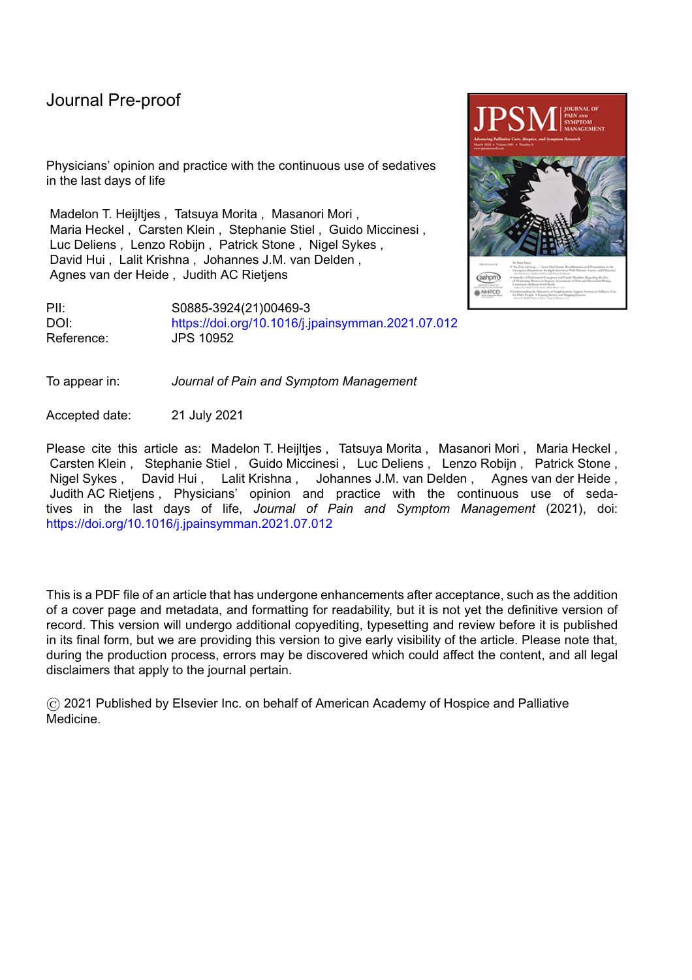#### **Introduction**

Physicians who care for terminally ill patients often witness unbearable suffering in their patients. Sedatives may be considered as a last resort when this suffering cannot be relieved by standard treatment options. In particular, palliative sedation represents a treatment of last resort to relieve suffering in dying patients.(1)(2)(3)(4)(5) However, there is a lack of standardization regarding palliative sedation in the literature. What are the indications for sedation? How should sedation be performed? When can sedation be considered acceptable practice?(6)(7)(8)(9)

There are many terms for the use of sedatives to relieve the suffering of terminally ill patients, including 'palliative sedation', 'continuous sedation', 'deep sedation', 'terminal sedation' and 'end of life sedation'.(6)(10)(11) The depth of sedation varies from superficial to deep, and the duration of sedation varies from intermittent to continuous until the end of life.(8)(12)(13) There is much debate on the use of sedatives, which is often complicated by a lack of consensual definitions. Empirical studies have described heterogeneous practice involving the use of sedatives for terminally ill patients in different countries and subpopulations.(4)(14)(15)(16) To date, few studies have been conducted to describe medical practices and opinions of physicians in an international context.(17)(18) The aim of this study was to explore practices and opinions regarding continuous use of sedatives (CUS) of physicians caring for terminally ill patients in eight resource-rich countries: Belgium, Germany, Italy, Japan, the Netherlands, Singapore, the United Kingdom, and the United States.

### **Methods**

#### Design:

We designed a questionnaire study in eight countries to gain insight into the medical practices and opinions of physicians regarding CUS in the last days of life. Questionnaires were distributed among 8550 physicians in Belgium (Flanders region, n=555), Germany (n=1091), Italy (n=1083), Japan (n=734), the Netherlands (n=4000), Singapore (n=37), the United Kingdom (n=850), and the United States (n=200) between November 2018 and August 2019. Questionnaires were electronic, except for in the Netherlands and Japan where questionnaires were distributed by post. We attempted to maximize the response rate by introducing the topic at the start of the questionnaire, by the short length of the questionnaire, by personalizing the questionnaire per respondent, and by sending a reminder. Physicians received two reminders in Japan and the United States. No financial incentive was used.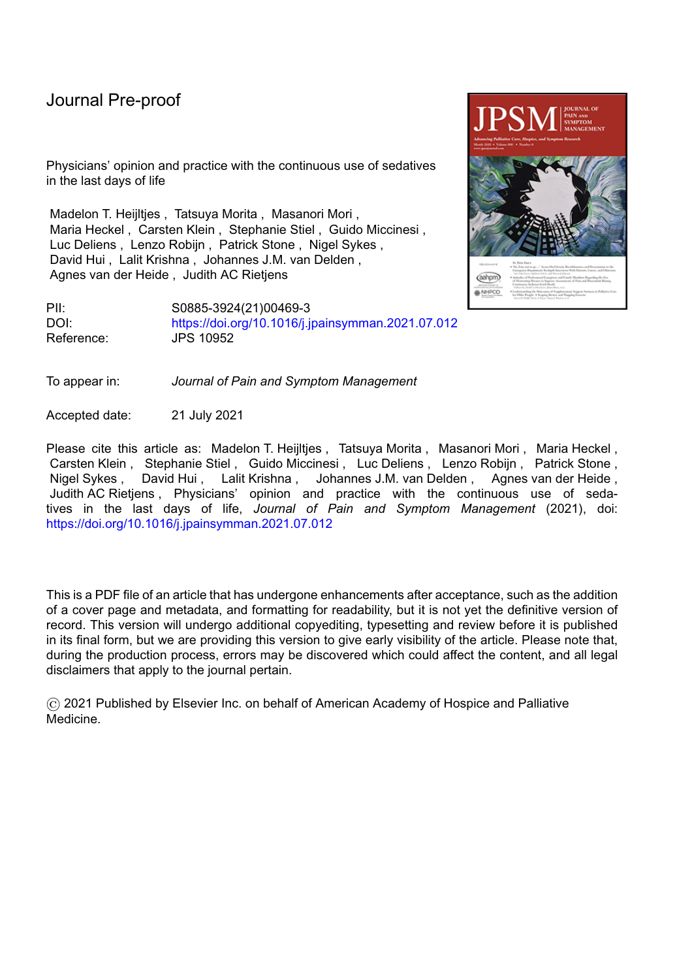#### Definition of sedation:

We established the definition to be used in the questionnaire by discussing the terms and practices that are used in the participating countries in two face-to-face meetings, and by several subsequent rounds of email contact among the authors. It was important that the definition was acceptable and recognizable in all participating countries, applied to a broad range of patients, including those with and without capacity. We chose to use a descriptive definition: the continuous use of sedatives as a means to alleviate severe suffering in the last hours to days of life. "Continuous use" was defined as either a continuous subcutaneous/intravenous infusion or a scheduled repeated injection with the intention of producing a continuous effect.

### Selection of participants:

Target physicians for this study were physicians caring for terminally ill patients. The national research teams decided about whom and how to optimally recruit participants due to the very different organizational structures of palliative care in the participating countries. In Belgium, Germany, Italy, Japan, the United Kingdom, and the United States, where palliative care is a clinical specialty or subspecialty, palliative care physicians were invited via the member lists of the national associations of palliative medicine. In Belgium, additionally, all physicians who had followed a palliative care training in the last five years prior to completion of the questionnaire were included. In the Netherlands, where there is no specific palliative care discipline, target physicians were random samples of general practitioners, geriatricians, and medical specialists. In Singapore, all physicians of major palliative care units were invited.

# Development of the questionnaire:

Since no validated questionnaires to survey physicians' experiences and attitudes regarding CUS were available, we developed our own questionnaire using expert opinion. Authors firstly reached a consensus on the definition of CUS. After consensus on the definition of CUS, we identified important themes and knowledge gaps about CUS in the literature. These themes concerned the type of medication, how sedation should be performed, the involvement of the patient and/or their family in the decision-making process, the goal of sedation, CUS to relieve psycho-existential suffering, CUS for patients with a life-expectancy of at least several weeks, and routine withdrawal of artificial hydration during CUS. (11)(19)(20)(21)(22)(23)(24)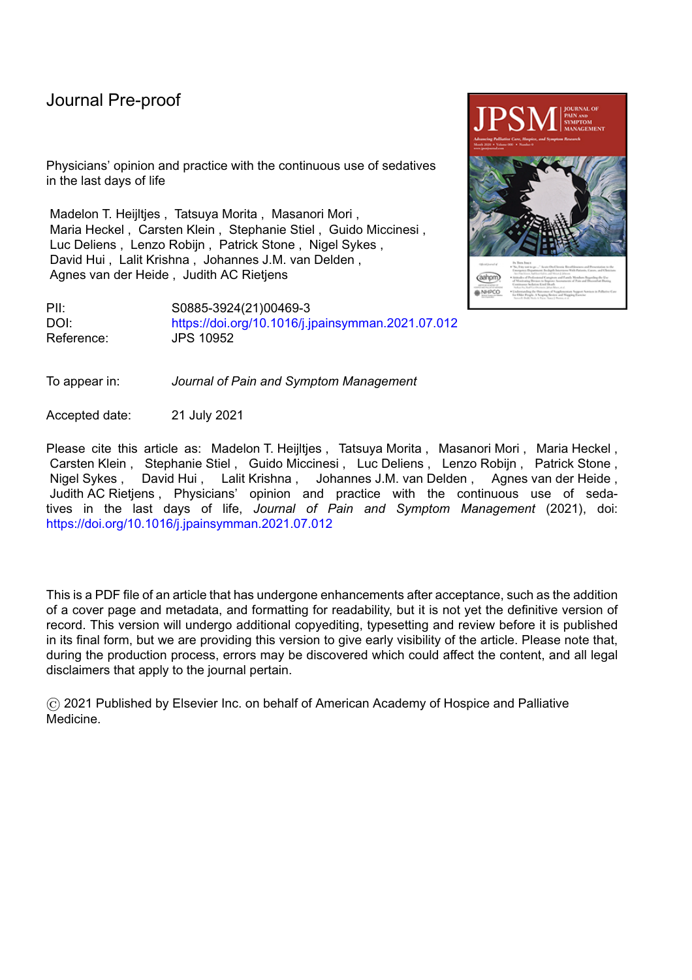Questions were developed by two face-to-face meetings, and by several subsequent rounds of email contact among the authors. The initial English version of the questionnaire was translated into Dutch, German, Italian, and Japanese. A pilot study was conducted in all countries with three physicians who were involved in the care of dying patients. Physicians in our pilot were asked to fill out the questionnaire, and were interviewed afterwards to identify if the questionnaire was applicable in their country, and to identify if the questionnaire included important themes considering CUS in each participating country. This pilot test resulted in minor adjustments to the English questionnaire. The final version was translated into Dutch, German, Italian, and Japanese.

The questionnaire contained 32 questions and consisted of three parts (supplement 1). The first part enquired about physicians' backgrounds including their age, religion, self-identified specialty, work place, work experience and involvement in the care of dying patients in the last 12 months. The second part addressed physicians' practices, including their experiences with providing CUS for terminally ill patients, their medication use, their goals and intentions when providing CUS, and patient and family involvement. Answering options on frequencies were never, rarely, sometimes, often, and always. Questions considering the goal of sedation were not part of the questionnaire in Singapore. The third part of the questionnaire covered physicians' opinions regarding 12 statements about CUS, with the use of 5-point Likert scales from strongly disagree to strongly agree.

### Review by ethics committee:

The study protocol was approved by ethics committees in Belgium, Germany, the United Kingdom, Japan and Singapore. Approval of the study protocol by an ethics committee was not required according to national policies in Italy and in the Netherlands and therefore not obtained.(25)(26) Ethical approval for the United States respondents was also not obtained because the questionnaire was administered by the Japanese team and this was a minimal risk study involving only healthcare professionals.

### Data collection and data analyses:

Data were collected between March-December 2019. Data were imported into an SPSS template in each country and merged into a final dataset. Descriptive analyses were performed (i.e., calculating number and percentages per country). Statistical comparisons were not performed due to heterogeneity of respondents in different countries. Percentages were corrected for missing values for those variables that had 5% missing values or less. Responses concerning physicians' medical practices were collapsed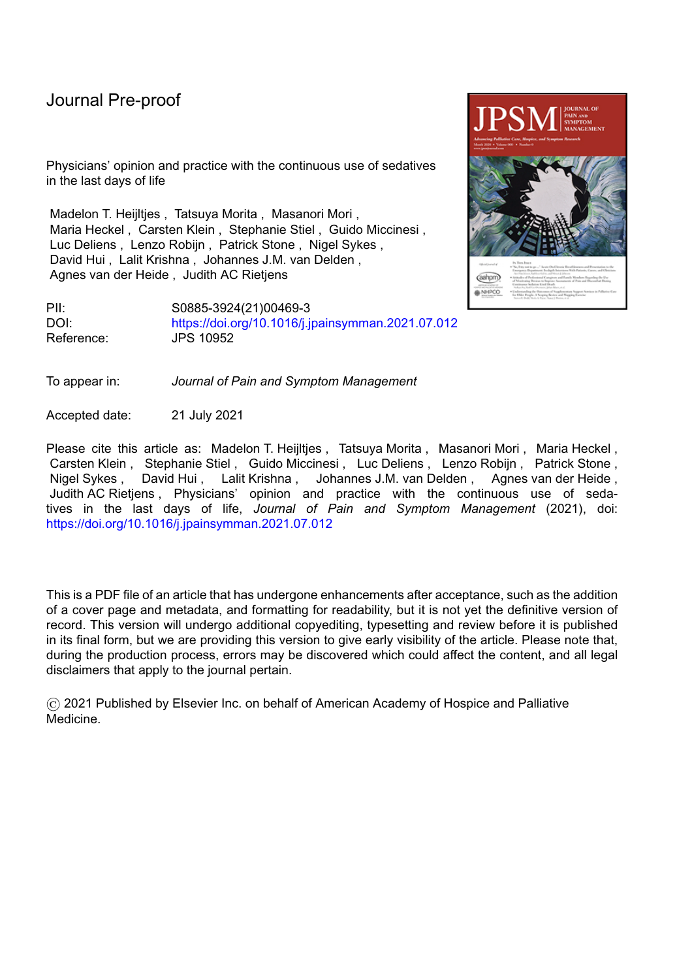into two categories: 'often' and 'always' vs. others. Responses concerning physicians' opinions were collapsed into two categories: 'agree' and 'strongly agree' vs. others. Results of respondents who returned empty questionnaires, and of respondents who did not fill in any questions on their medical practices or opinions on CUS were excluded from analysis. For the responses of physicians who reported that they had never provided CUS, questions concerning medical practices were excluded from further analysis. Statistical analyses were performed using IBM SPSS Statistics version 25.0.

### **Results**

A total of 8550 questionnaires were distributed and 2543 were returned. A total of 102 questionnaires where respondents did not fill out any questions about their practices or their experiences were not eligible for further analyses. Because of the low number of participants from the United States (n=29) together with the low response rate (15%), we decided to exclude these results from further analyses, resulting in 2412 eligible questionnaires. The response rates were 13% in the United Kingdom (n=114), 15% in Germany (n=546), 20% in Italy (n=214), 21% in the Netherlands (n=829), 32% in Belgium (n=175), 57% in Singapore (n=21), and 71% in Japan (n=513); 22% overall (N=2412).

By country, the median age of respondents varied between 40-55 years, and median work experience between 16-28 years (Table 1). In line with our recruitment procedures, most German, Italian, Singaporean, and British respondents were palliative care physicians. Most Belgian respondents were general practitioners (56%), and most Dutch respondents were clinical geriatrics / elderly care physicians (27%) or general practitioners (20%). In all countries except for Japan, most respondents considered themselves Christian or non-religious. In Japan most respondents considered themselves as Buddhist or as non-religious. The median number of dying patients for whom respondents were involved in the last 12 months varied from 10 in Belgium up to 100 in the United Kingdom.

Table 2 presents respondents' experiences with the continuous use of sedatives as a means to alleviate severe suffering in the last hours to days of life per country. In all countries, most respondents had at least once provided CUS as a means to alleviate severe suffering in the last hours to days of life. The percentages were 82% for Belgian, 95% for German, 99% in Italian, 95% for Japanese, 97% for Dutch, 95% for Singapore, and 94% for British respondents.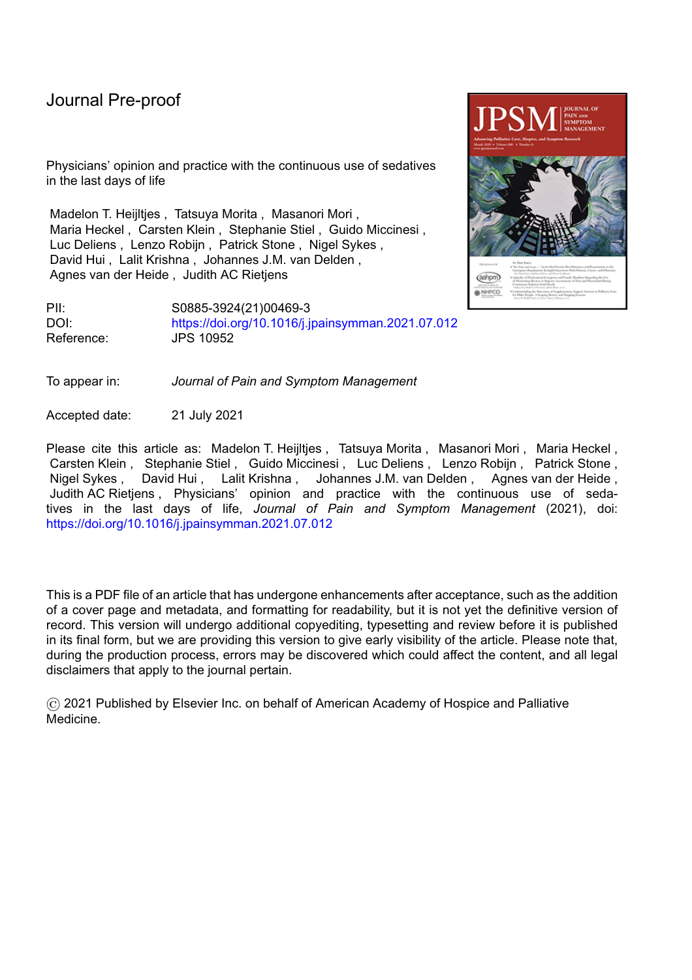In all countries, most respondents indicated that midazolam was the most frequently used medication for sedation, ranging from 91% in the United Kingdom up to 100% in Singapore. Opioids (with the intent to provide sedation) were mentioned by more than 25% of respondents in Belgium, Germany, and Italy. Levomepromazine/chlorpromazine was reported to be used as a sedative by 85% of British respondents, and haloperidol by 47% of Italian respondents. For all counties, 74% or more of the respondents indicated that they usually started low and gradually increased the dosage of the medications until the desired effect was reached. Fewer respondents indicated that they usually started high in order to reach the desired effect rapidly ( 10% in Japan and the United Kingdom; 20-32% in the other countries).

When asked about intention when providing CUS in the last hours to days of life (Figure 1), in all countries nearly all respondents indicated this was often or always to relieve suffering. Between 30% and 49% indicated their intention was often or always to decrease the patient's consciousness (except respondents from the United Kingdom, 9%). Fewer respondents expressed the intention of inducing unconsciousness. Shortening the dying process was rarely mentioned as an intention by respondents in any country, except in Belgium (12%). Table 2 further indicates that most (70-86%) respondents considered the goal of CUS as often/always achieved when the patient was comfortable but not necessarily unconscious. The percentages of the respondents who considered the goal of sedation was to induce unconsciousness was 17%, except for Italy and Belgium (32%).

Figure 2 shows that in all countries most (60-89%) respondents stated that the patient was often/always involved in decision-making. These percentages ranged from 91% to 100% for family involvement.

Figure 3 illustrates respondents' opinions about the acceptability of CUS for patients with varying symptoms and life expectancies per country. In all countries, for patients in the last hours to days of life, more than 87% of respondents considered CUS an acceptable medical practice to alleviate severe physical suffering. This percentage decreased to 45%-88% in case of severe psycho-existential suffering in the absence of physical symptoms. These percentages were lower for patients who were expected to live for at least several weeks. Agreement ranged from 22- 66% in case of physical suffering and from 5- 42% in case of psycho-existential suffering in the absence of physical symptoms.

Table 3 presents respondents' agreement with a set of statements. In all countries, more than 60% of respondents agreed that a competent patient with severe suffering has the right to demand CUS in the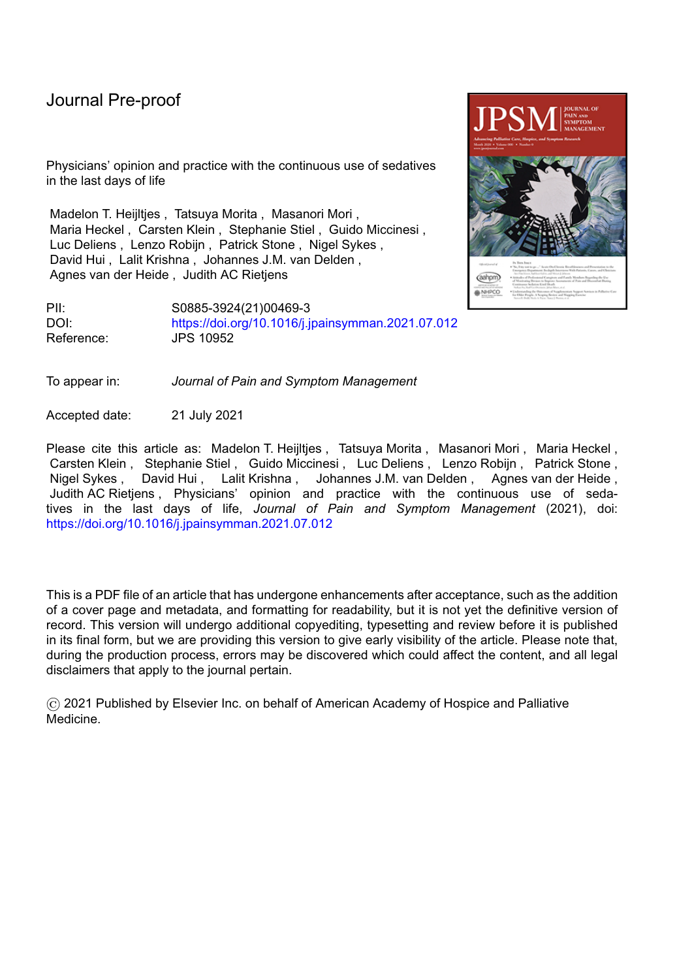last hours to days of life, except for British respondents (41%). Relatively few respondents ( 17%) thought that CUS in the last hours to days of life shortens the duration of the dying process, except for German respondents (31%). In all countries 10% of the respondents agreed with the statement that CUS in the last hours to days of life is not necessary, as suffering can always be relieved with other measures. Most respondents (more than 70%) indicated that dying during sleep through CUS could be a good death, except for Japanese respondents (31%).

Figure 4 indicates that more than 75% of the Belgian, Dutch, German and Singapore respondents considered routine withdrawal of artificial hydration an acceptable practice for patients with a life expectancy of hours to days; these percentages were lower for Japanese, British and Italian respondents (34-52%). The percentages decreased substantially for patients who were expected to live for at least several weeks.

### **Discussion**

In our questionnaire study we described practices and opinions regarding CUS of physicians in seven countries spanning two continents.

# Strengths and limitations of the study

One of the major strengths of this study was the large number of participating physicians (more than 2400), across seven countries, all experienced in the care of dying patients. Our questionnaire used a clear definition of CUS and underwent pilot testing and modification before being used. However, there were some significant limitations to our study. In the absence of a pre-existing validated questionnaire to ascertain attitudes and practices of CUS we developed a study-specific questionnaire. We developed our study-specific questionnaire based on expert opinion and previous

literature.(11)(19)(20)(21)(22)(23)(24) The use of a non-validated questionnaire could be considered as a limitation. As a questionnaire based-study we relied on respondents' self-reports about CUS rather than on objective evidence about what practices actually occurred. Despite anonymity, it is possible that respondents did not always actually report their views or practices. Our study had a low response rate in several of the participating countries and a relatively low numbers of participants, particularly in Singapore, the United Kingdom and the United States. Because no data were collected from nonrespondents, we were not able to examine factors contributing to this low response rate. Because palliative care is provided by different clinicians across the participating countries, diverse recruitment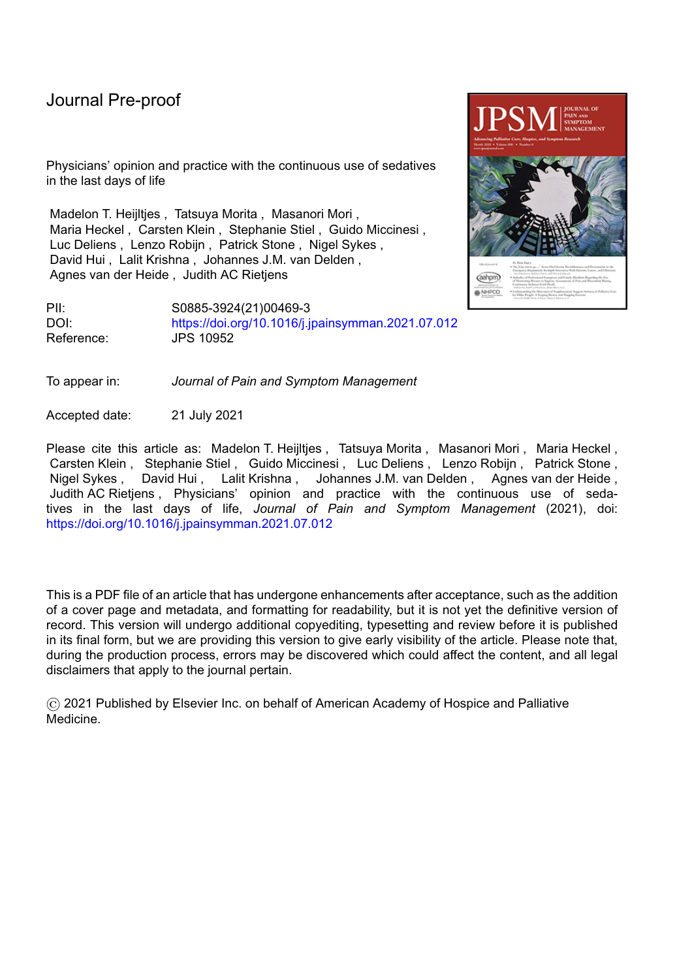strategies were used in different countries and as a result the characteristics of respondents in different countries varied substantially. Another limitation is that the results may not be directly generalizable to other countries that are less resource rich. Lastly, we did not provide a definition of psycho-existential suffering. Because of these limitations, the results of this exploratory study need confirmation in subsequent studies.

#### Analysis and comparison with the literature

There are many ways in which physicians influence the circumstances or timing of a patient's death. A relatively new phenomenon in the ethical discussion on end-of-life decisions is palliative sedation through the continuous use of sedatives (CUS). Often, such a decision is accompanied by the decision to forgo the provision of artificial nutrition and hydration. The combination of these two decisions has made the moral status of CUS the subject of fierce ethical debates and led to a number of conditions being made in guidelines. (22)(27)(28)(29)

Internationally, there are different perspectives towards the acceptability of withholding artificial hydration during CUS. The framework of the European Association for Palliative Care for the use of sedation emphasizes that withholding artificial hydration and providing palliative sedation are two separate decisions at the end of life and that these decisions should be taken and communicated separately.(13) At the same time the British quality standard *Care of dying adults in the last days of life* emphasizes that dehydration can lead to thirst and delirium, and may sometimes result in death, and therefore recommends to continue or to start artificial hydration for terminally ill patients, including those receiving sedation.(30) In our study, there was a consistent view (regardless of country) that withdrawal of hydration/nutrition was more acceptable when the prognosis of the patient is shorter. Furthermore, while guidelines often put limits on life expectancy (13)(27)(28), in Belgium, Germany, Italy and the Netherlands a substantial proportion of respondents (42-66%) considered CUS as an acceptable medical practice to relieve severe physical suffering in patients with a life expectancy of several weeks.

In our study, a substantial proportion of respondents (45%-88%) considered CUS to relieve severe psycho-existential suffering in the absence of physical suffering in the last hours to days of life to be an acceptable practice. These results seem in line with the findings of a systematic review that found that the frequency of continuous deep sedation seemed to have increased over time, possibly partly because

9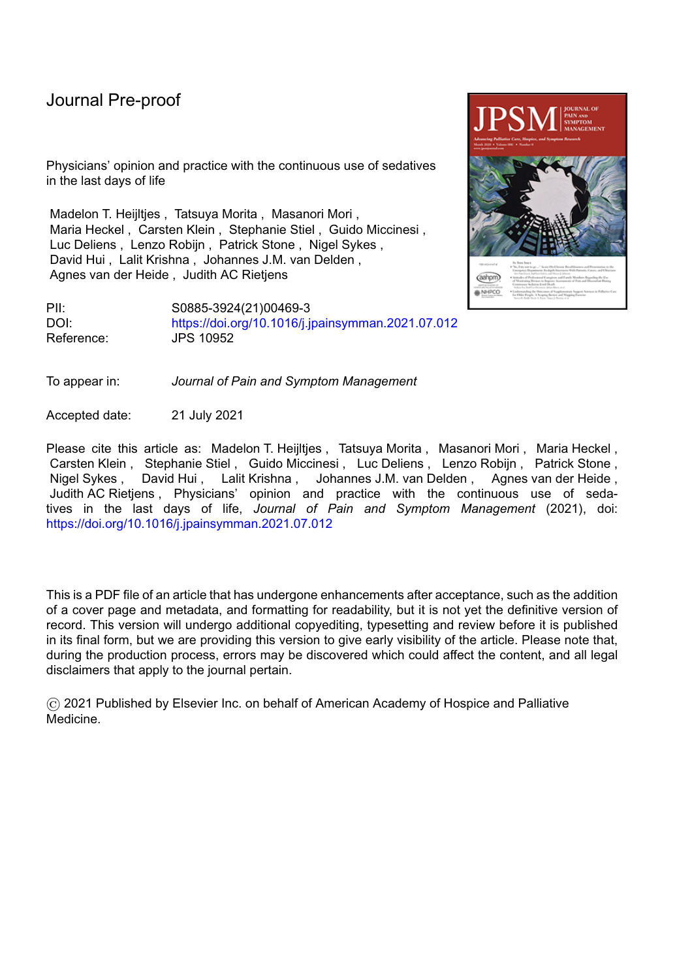of an extension of indications for sedation, from mainly physical symptoms to include non-physical symptoms as well.(21) In addition, a survey among Canadian palliative care physicians showed also that a third of these respondents provided continuous sedation for existential distress in the absence of physical symptoms.(31) A considerable number of respondents in our study agreed with the statement that a competent patient has the right to demand CUS. A previous study of Robijn et al. showed that in Belgium, the percentage of deaths in which sedation was used on the request of a patient had increased from 10% to 15% between 2007 and 2013.(1) A qualitative study among health care practitioners in Belgium, the Netherlands, and the United Kingdom showed that physicians in the United Kingdom typically discussed the possible use of sedation with patients and their relatives, but that they took the decision themselves, whereas in Belgium, patients more often initiated the conversation and requested the sedation and the role of the physician was more limited to evaluating if medical criteria were met. In the Netherlands, physicians emphasized the making of an "official medical decision", informed by the wish of the patient.(32) This exploratory study suggests several areas where there might be a difference in practice in use of sedatives in the last days, within and between countries. There was a wide range in reported frequency of the use of opioids, levomepromazine/chlorpromazine, and haloperidol for sedation. The appropriateness of these medications as sedative drugs should be further investigated. Also, there were diverse opinions regarding the statement that CUS cannot sufficiently alleviate suffering even when patients become unresponsive. To what degree patients receiving sedatives actually achieve symptom relief is a focus of controversy, and future studies are needed to understand how the effects and potential adverse events of CUS can be measured.(33)(34)(35)

#### Conclusions and implications

Insight into the practices and opinions of physicians caring for terminally ill patients regarding CUS is an important first step towards a better understanding of the current practices in the participating countries, and to support an informed debate. In the studied countries, many respondents considered CUS acceptable for the relief of physical suffering in the last days of life. Our finding that for a substantial proportion of respondents CUS is not only considered acceptable for the relief of physical, but also for psycho-existential suffering, and by a somewhat lower proportion of respondents also for patients with a life-expectancy of at least several weeks, seem in line with recent reports that suggest that the indications for the use of CUS may have widened over time, and that CUS may have lost its status as being a treatment of ''last resort''. Future studies should explore the expectations and experiences in clinical practice of clinicians, patients, and relatives with CUS in different countries. More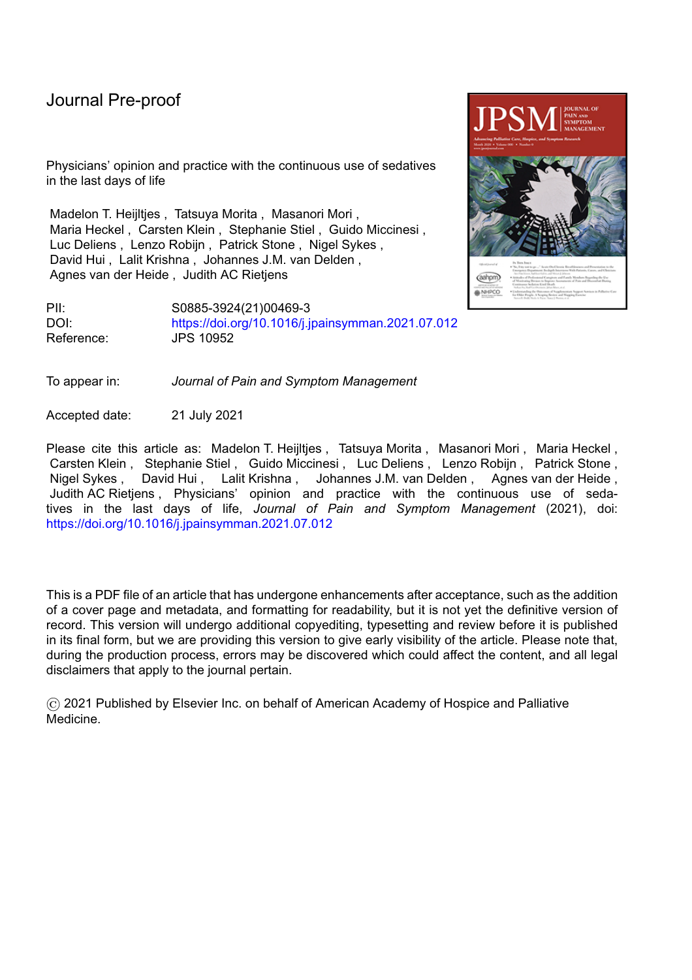research is also needed to better understand how we can assess suffering in patients undergoing CUS, to measure whether CUS is sufficient assurance of comfort to maintain it as a proportional answer to the relief of unbearable suffering of terminally ill patients, and to develop effective interventions to relieve suffering in the most distressed.

#### **Acknowledgements**

This work was supported by the Ministry of Education, Culture, Sports, Science and Technology, Japan

#### **References**

- 1. Robijn L, Cohen J, Rietjens J, Deliens L, Chambaere K. Trends in continuous deep sedation until death between 2007 and 2013: A repeated nationwide survey. PLoS One. 2016;11.
- 2. Rietjens JAC, Heijltjes MT, van Delden JJM, Onwuteaka-Philipsen BD, van der Heide A. The Rising Frequency of Continuous Deep Sedation in the Netherlands, a Repeated Cross-Sectional Survey in 2005, 2010, and 2015. J Am Med Dir Assoc. 2019:20;1367-1372.
- 3. Ziegler S, Schmid M, Bopp M, Bosshard G, Puhan MA. Continuous Deep Sedation Until Death-a Swiss Death Certificate Study. J Gen Intern Med. 2018 Jul;33:1052–1059.
- 4. Miccinesi G, Caraceni A, Raho JA, et al. Careful monitoring of the use of sedative drugs at the end of life: The role of Epidemiology. the ITAELD study. Minerva Anestesiol. 2015;81:968–979.
- 5. Seale C. Continuous Deep Sedation in Medical Practice: A Descriptive Study. J Pain Symptom Management. 2010;39:44–53.
- 6. Twycross R. Reflections on palliative sedation. Palliat Care Res Treat. 2019;12:117822421882351.
- 7. Miccinesi G, Caraceni A, Maltoni M. Palliative sedation: ethical aspects. Minerva Anestesiol. 2017;83:1317–1323.
- 8. Henry B. A systematic literature review on the ethics of palliative sedation: an update (2016). Curr Opin Support Palliat Care. 2016;10:201-207.
- 9. Curlin FA. Palliative sedation: clinical context and ethical questions. Theor Med Bioeth. 2018;39:197-209.
- 10. Raus K, Sterckx S. How defining clinical practices may influence their evaluation: the case of continuous sedation at the end of life. J Eval Clin Pract. 2016;22:425–432.
- 11. Morita T, Tsuneto S, Shima Y. Definition of sedation for symptom relief: A systematic literature review and a proposal of operational criteria. Journal of Pain and Symptom Management.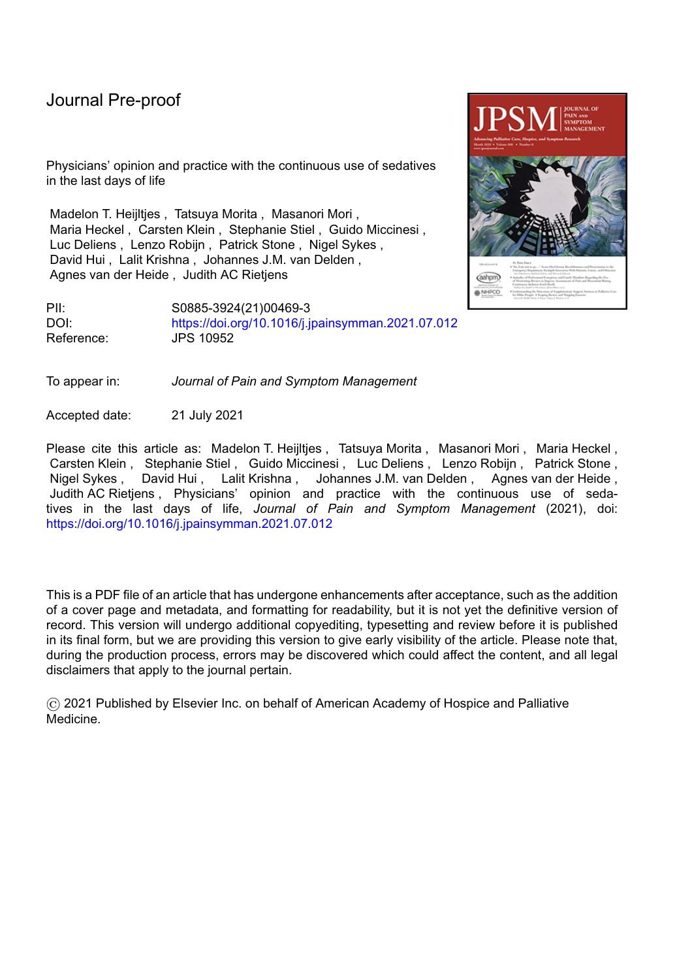2002;24-447-453.

12. Maltoni M, Scarpi E, Rosati M, et al. Palliative sedation in end-of-life care and survival: A systematic review. Journal of Clinical Oncology. 2012;30:1378-1383.

- 13. Cherny NI, Radbruch L, Board of the European Association for Palliative C. European Association for Palliative Care (EAPC) recommended framework for the use of sedation in palliative care. Palliat Med. 2009;23:581-593.
- 14. Schur S, Weixler D, Gabl C, et al. Sedation at the end of life A nation-wide study in palliative care units in Austria. BMC Palliat Care. 2016;15:50.
- 15. Kim YS, Song H-N, Ahn JS, et al. Sedation for terminally ill cancer patients: A multicenter retrospective cohort study in South Korea. Medicine (Baltimore). 2019 Feb;98(5):e14278.
- 16. Serey A, Tricou C, Phan-Hoang N, et al. Deep continuous patient-requested sedation until death: a multicentric study. BMJ Support Palliat Care. 2019;bmjspcare-2018-001712.
- 17. Miccinesi G, Rietjens JAC, Deliens L, et al. Continuous deep sedation: Physicians' experiences in six European countries. J Pain Symptom Manage. 2006;31:122–129.
- 18. Seymour J, Rietjens J, Bruinsma S, Deliens L, Sterckx S, Mortier F, et al. Using continuous sedation until death for cancer patients: A qualitative interview study of physicians' and nurses' practice in three European countries. Palliat Med. 2015;
- 19. Gurschick L, Mayer DK, Hanson LC. Palliative Sedation: An Analysis of International Guidelines and Position Statements. Am J Hosp Palliat Med. 2015;32:660-671.
- 20. Schildmann E, Schildmann J. Palliative sedation therapy: A systematic literature review and critical appraisal of available guidance on indication and decision making. J Palliat Med. 2014;17:601-611.
- 21. Heijltjes M, van Thiel G, Rietjens J, et al. Changing practices in the use of continuous sedation at the end of life. A systematic review of the literature. J Pain Symptom Manage. 2020;60:828- 846.e3.
- 22. Abarshi E, Rietjens J, Robijn L, et al. International variations in clinical practice guidelines for palliative sedation: A systematic review. Vol. 7, BMJ Supportive and Palliative Care. 2017;7:223– 229.
- 23. Hasselaar JGJ, Verhagen SCAHHVM, Vissers KCP. When cancer symptoms cannot be controlled: the role of palliative sedation. Curr Opin Support Palliat Care. 2009;3:14–23.
- 24. Vissers KCP, Hasselaar J, Verhagen SAHHVM. Sedation in palliative care. Current Opinion in Anaesthesiology. 2007;20:137-142.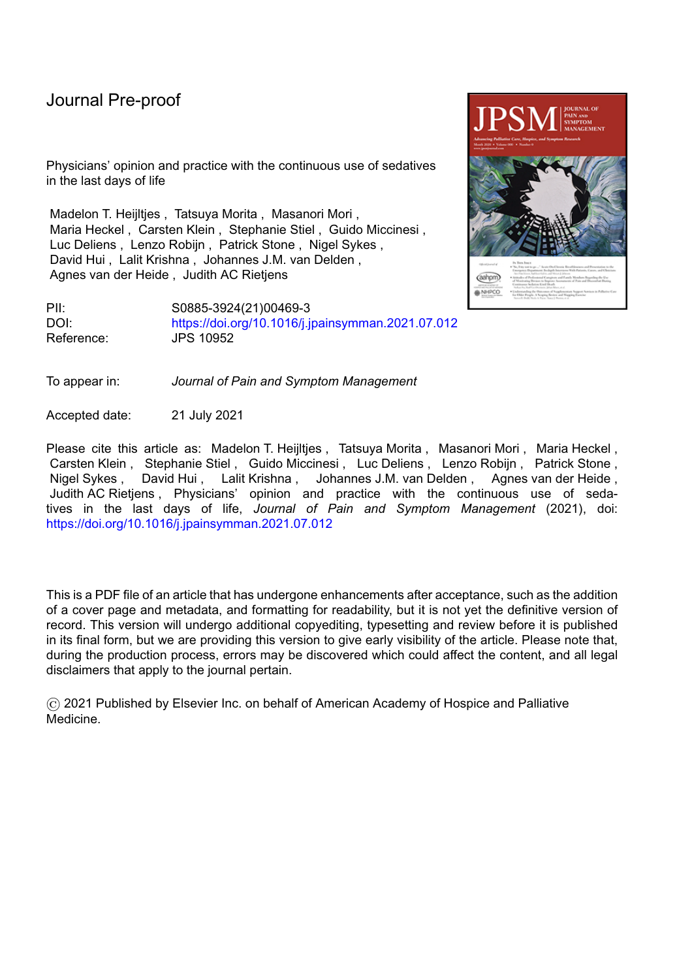#### **Table 1. Baseline characteristics of the respondents**

25. Naureen Z, Beccari T, Marks RS, et al. Ethics committees for clinical experimentation at international level with a focus on Italy. Acta Biomedica. 2020;91:e2020016.

- 26. CCMO Netherlands. Central Committee on Research Involving Human Subjects. Available from: https://www.ccmo.nl/onderzoekers/wet-en-regelgeving-voor-medisch-wetenschappelijkonderzoek/uw-onderzoek-wmo-plichtig-of-niet. Accessed July 20<sup>th</sup>, 2021.
- 27. KNMG (Royal Dutch Medical Association). Guideline for Palliative Sedation. Utrecht, The Netherlands; 2009. Available from https://www.knmg.nl/advies-richtlijnen/knmgpublicaties/publications-in-english.htm. Accessed July 20<sup>th</sup>, 2021.
- 28. Pallialine Belgium. Guideline Palliative Sedation Belgium. 2012. Available from http://www.pallialine.be/template.asp?f¼rl\_palliatieve\_sedatie.htm. Accessed July 20<sup>th</sup>, 2021.
- 29. van Delden JJM. Terminal sedation: Source of a restless ethical debate. Journal of Medical Ethics. 2007;33:187–188.
- 30. NICE National Institute for Health and Care Excellence. United Kingdom. Care of dying adults in the last days of life, Quality standard 2017. Available from https://www.nice.org.uk/guidance/gs144. Accessed July 20<sup>th</sup>, 2021.
- 31. Voeuk A, Nekolaichuk C, Fainsinger R, Huot A. Continuous Palliative Sedation for Existential Distress? A Survey of Canadian Palliative Care Physicians' Views. J Palliat Care. 2017;32:26-33.
- 32. Seymour J, Rietjens J, Bruinsma S, et al. Using continuous sedation until death for cancer patients: a qualitative interview study of physicians' and nurses' practice in three European countries. Palliat Med. 2015;29:48–59.
- 33. Belar A, Arantzamendi M, Payne S, Preston N, Rijpstra M, Hasselaar J, et al. How to measure the effects and potential adverse events of palliative sedation? An integrative review. Palliative Medicine. 2021;35:295-314.
- 34. Monreal-Carrillo E, Allende-Perez S, Hui D, et al. Bispectral Index monitoring in cancer patients undergoing palliative sedation: a preliminary report. Support care cancer Off J Multinatl Assoc Support Care Cancer. 2017;25:3143–3149.
- 35. Davis MP. Does palliative sedation always relieve symptoms? J Palliat Med. 2009;12:875–877.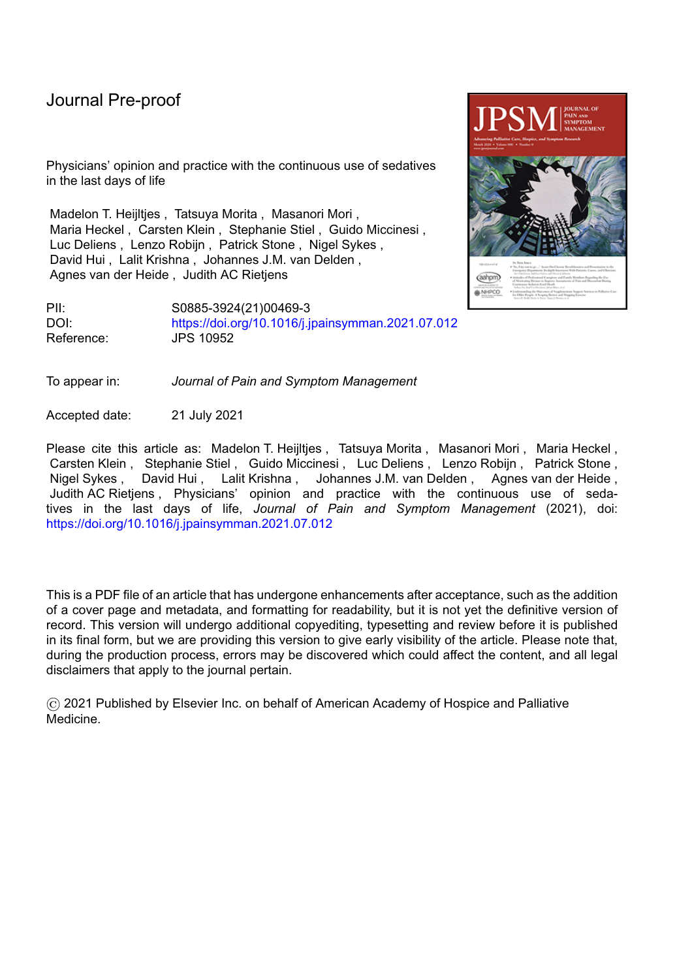| Country                                 | Belgium        |                | Germany                                 |                | Italy          |                | Japan               |                | The Netherlands |                     |
|-----------------------------------------|----------------|----------------|-----------------------------------------|----------------|----------------|----------------|---------------------|----------------|-----------------|---------------------|
|                                         |                |                |                                         |                |                |                |                     |                |                 |                     |
| No. respondents                         | N              | $\%$           | $\mathsf{N}$                            | $\%$           | $\mathsf{N}$   | $\%$           | $\mathsf{N}$        | $\%$           | $\mathsf{N}$    | $\%$                |
|                                         | 175            |                | 546                                     |                | 214            |                | 513                 |                | 829             |                     |
| Age (years)                             |                |                |                                         |                |                |                |                     |                |                 |                     |
| Median                                  | 48             |                | 53                                      |                | 52             |                | 55                  |                | 47              |                     |
| Work experience as physician (years)    |                |                |                                         |                |                |                |                     |                |                 |                     |
| Median                                  | 20             |                | 25                                      |                | 21             |                | 28                  |                | 19              |                     |
| Gender                                  |                |                |                                         |                |                |                |                     |                |                 |                     |
| Female                                  | 114            | 65             | 275                                     | 51             | 106            | 50             | 102                 | 20             | 416             | 50                  |
| Male                                    | 61             | 35             | 269                                     | 49             | 108            | 51             | 406                 | 80             | 411             | 50                  |
| <b>Clinical specialty</b>               |                |                |                                         |                |                |                |                     |                |                 |                     |
| Palliative medicine                     | 19             | 11             | 273                                     | 50             | 198            | 93             | 334                 | 65             | $\mathbf 0$     | $\mathsf{O}\xspace$ |
| General practice/ Family medicine       | 98             | 56             | 38                                      | $\overline{7}$ | 5              | $\overline{2}$ | 23                  | $\overline{5}$ | 165             | 20                  |
| Internal medicine                       | 6              | 3              | 87                                      | 16             | $\cap$         | $\Omega$       | 18                  | $\overline{4}$ | 93              | 11                  |
| Radiotherapy                            | 1              | $\mathbf{1}$   | 14                                      | 3              | 0              | $\Omega$       | 3                   | $\mathbf{1}$   | 0               | $\overline{0}$      |
| Pulmonology                             | 8              | 5              | 36                                      | $\overline{7}$ | $\theta$       | $\overline{0}$ | 13                  | $\mathfrak{Z}$ | 93              | 11                  |
| Cardiology                              |                |                | 34                                      | 6              | 0              | $\Omega$       | $\mathbf{1}$        | $\mathbf 0$    | 66              | 8                   |
| Anesthesiology                          | 8              | 5              | $\overline{4}$                          |                | 2              |                | 32                  | 6              | $\mathbf 0$     | $\mathsf{O}$        |
| Geriatrics                              | 13             | $\overline{7}$ | $\overline{4}$                          | $\mathbf{1}$   | 5              | $\overline{2}$ | $\overline{4}$      | $\mathbf{1}$   | 227             | $27^A$              |
| Oncology                                | 14             | 8              | $\mathbf{1}$                            | $\mathbf 0$    |                |                | 21                  | $\overline{4}$ | 41              | 5                   |
| Neurology                               | $\overline{4}$ | $\overline{2}$ | $\mathbf{1}$                            | $\overline{0}$ | $\Omega$       | $\Omega$       | $\mathbf{0}$        | $\mathbf{0}$   | 69              | 8                   |
| Surgery                                 |                |                | $\mathbf{1}$                            | $\overline{0}$ | $\Omega$       | $\Omega$       | 39                  | $\, 8$         | $\overline{2}$  | $\overline{0}$      |
| Other                                   | $\overline{2}$ |                | 53                                      | 10             | $\overline{2}$ | $\overline{1}$ | 24                  | 5              | 71              | $\mathsf{Q}$        |
| Institution (multiple options possible) |                |                |                                         |                |                |                |                     |                |                 |                     |
| Hospital                                | 63             | 36             | 297                                     | 54             | 21             | 10             | 399                 | 78             | 443             | 53                  |
| Nursing home/Elderly care facility      | 26             | 15             | $\begin{array}{c} 29 \\ 47 \end{array}$ | $\overline{5}$ | 5              | $\overline{2}$ | 18                  | $\overline{4}$ | 192             | 23                  |
| Inpatient hospice                       | $\overline{0}$ | $\overline{0}$ |                                         | 9              | 99             | 46             | 158                 | 31             | 33              | 4                   |
| Community palliative care services      | 32             | 18             | 216                                     | 40             | 85             | 40             | 6                   | $\mathbf{1}$   | $\overline{0}$  | $\overline{0}$      |
| Home practice/ Family practice          | 106            | 61             | 121                                     | 22             | $\overline{2}$ | $\mathbf{1}$   | 86                  | 17             | 168             | 20                  |
| Other                                   | 3              |                | 53                                      | 10             | $\overline{2}$ |                | $\overline{7}$      |                | 43              | 5                   |
| Religion                                |                |                |                                         |                |                |                |                     |                |                 |                     |
| Christianity                            | 96             | 55             | 411                                     | 76             | 162            | 76             | 47                  | $\overline{9}$ | 353             | 43                  |
| Islam                                   | $\overline{0}$ | $\mathbf 0$    | $\sqrt{4}$                              | $\mathbf{1}$   | $\overline{c}$ | $\mathbf{1}$   | $\mathsf{O}\xspace$ | $\mathbf 0$    | 9               | 1                   |
| Buddhism                                | $\Omega$       | $\mathbf 0$    | 3                                       | $\mathbf{1}$   | $\overline{4}$ | $\overline{2}$ | 137                 | 27             | 3               | $\overline{0}$      |
| Judaism                                 |                | $\mathbf 0$    | $\mathbf 0$                             | $\mathbf 0$    | $\overline{0}$ | $\mathbf 0$    | $\mathbf{O}$        | $\mathbf 0$    | $\overline{4}$  | 1                   |
| No religion                             | 77             | 44             | 117                                     | 22             | 46             | 22             | 304                 | 61             | 443             | 54                  |
| Other                                   | $\overline{2}$ |                | 8                                       | $\overline{2}$ | $\mathbf 0$    | $\mathbf 0$    | 14                  | $\mathfrak{Z}$ | 14              | $\overline{2}$      |
| Number of patients in whose dying       |                |                |                                         |                |                |                |                     |                |                 |                     |
| process the physician was involved in   |                |                |                                         |                |                |                |                     |                |                 |                     |
| the past 12 months <sup>A</sup>         |                |                |                                         |                |                |                |                     |                |                 |                     |
| Median                                  | 10             |                | 80                                      |                | 95             |                | 50                  |                | 13              |                     |

A. In the Netherlands these physcians were clinical geriatics and elderly care physicians

B. Physicians who stated that they had ever provided continuous use of sedatives as a means to alleviate severe suffering in the last hours to days of life.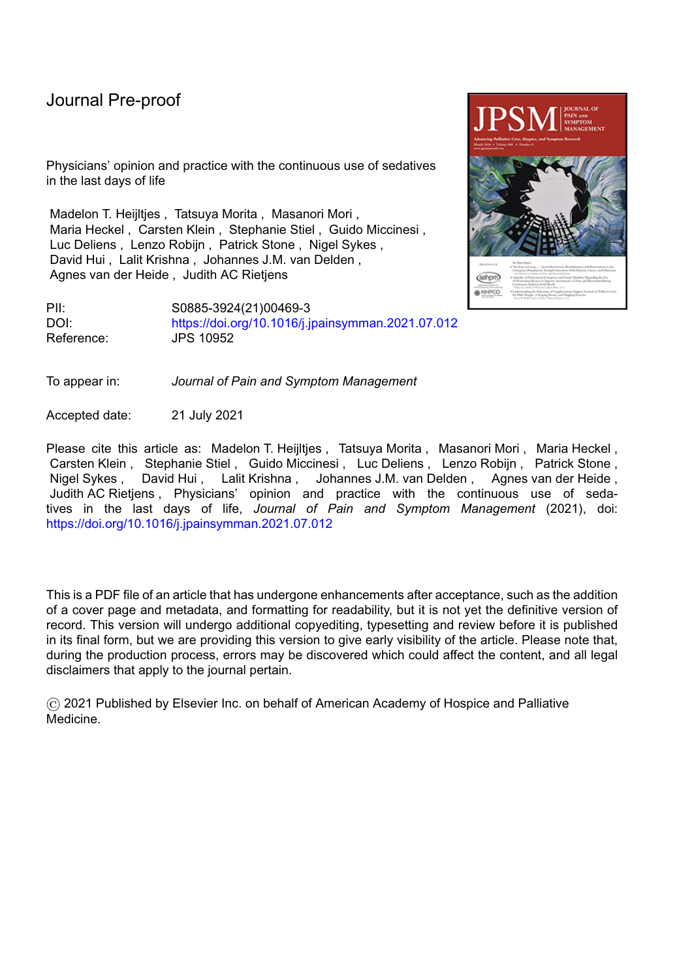| Table 2. Physicians' experiences with the continuous use of sedatives as a means to alleviate severe suffering in the last<br>ns' agreement with statement about the continuous use of sedatives as a means to alleviate severe s | Belgium      |              | Germany     |                | Japan           |                |              | Italy          | Netherlands  |                | Singapore      |                     |                |                |    |           |                |
|-----------------------------------------------------------------------------------------------------------------------------------------------------------------------------------------------------------------------------------|--------------|--------------|-------------|----------------|-----------------|----------------|--------------|----------------|--------------|----------------|----------------|---------------------|----------------|----------------|----|-----------|----------------|
|                                                                                                                                                                                                                                   |              |              |             | Belgium        |                 |                | Germany      |                |              |                | Japan          |                     |                | Netberlands    |    | Singapore |                |
| No. respondents <sup>A</sup>                                                                                                                                                                                                      | $\mathsf{N}$ | $\%$         | $\mathbb N$ | %              |                 | %              | $\mathbb N$  | %              | $\mathbb{N}$ | O              | $\mathbb N$    | $\frac{0}{6}$       | N              |                |    |           | $\sf K$        |
|                                                                                                                                                                                                                                   | 143          |              | N 519       | $\%$           | 21 <sup>b</sup> |                | 5487         | N              | 80%          | N              | 20             |                     | $M_{7}$        | %              | N  | $\%$      | $\overline{N}$ |
| Number of patients who were                                                                                                                                                                                                       |              |              | 75          |                | 546             |                |              | 214            |              | 51             |                |                     | 829            |                | 21 |           |                |
| provided with the continuous                                                                                                                                                                                                      |              |              |             |                |                 |                |              |                |              |                |                |                     |                |                |    |           |                |
| use of sedatives as a means to                                                                                                                                                                                                    |              |              |             |                |                 |                |              |                |              |                |                |                     |                |                |    |           |                |
| relieve suffering in the last                                                                                                                                                                                                     |              |              |             |                |                 |                |              |                |              |                |                |                     |                |                |    |           |                |
| hours to days of life in the last                                                                                                                                                                                                 |              |              |             |                |                 |                |              |                |              |                |                |                     |                |                |    |           |                |
| 12 months <sup>B</sup>                                                                                                                                                                                                            |              |              |             |                |                 |                |              |                |              |                |                |                     |                |                |    |           |                |
| <b>None</b>                                                                                                                                                                                                                       | 15           | 11           | 47          | $\mathcal{Q}$  | $\overline{2}$  | $\mathbf{1}$   | 58           | 12             | 89           | 11             | $\mathbf 1$    | 5                   | 11             | 11             |    |           |                |
| 1-5 patients                                                                                                                                                                                                                      | 82           | 58           | 207         | 40             | 21              | 10             | 220          | 45             | 358          | 45             | 12             | 60                  | 27             | 26             |    |           |                |
| 6-10 patients                                                                                                                                                                                                                     | 17           | 12           | 101         | 20             | 31              | 15             | 103          | 21             | 172          | 22             | 5              | 25                  | 17             | 17             |    |           |                |
| >10 patients                                                                                                                                                                                                                      | 28           | 20           | 157         | 31             | 158             | 75             | 106          | 22             | 174          | 22             | $\overline{2}$ | 10                  | 48             | 47             |    |           |                |
| Medication used for the                                                                                                                                                                                                           |              |              |             |                |                 |                |              |                |              |                |                |                     |                |                |    |           |                |
| continuous use of sedatives                                                                                                                                                                                                       |              |              |             |                |                 |                |              |                |              |                |                |                     |                |                |    |           |                |
| (multiple options possible) $B$                                                                                                                                                                                                   |              |              |             |                |                 |                |              |                |              |                |                |                     |                |                |    |           |                |
| Midazolam                                                                                                                                                                                                                         | 132          | 94           | 490         | 94             | 200             | 94             | 466          | 95             | 781          | 98             | 20             | 100                 | 97             | 97             |    |           |                |
| Propofol                                                                                                                                                                                                                          | $\, 8$       | 6            | 58          | 11             | $\overline{2}$  | $\mathbf{1}$   | $\mathsf{Q}$ | 2 <sup>2</sup> | 26           | 3              | $\overline{2}$ | 11                  | $\mathbf{1}$   |                |    |           |                |
| Haloperidol                                                                                                                                                                                                                       | 15           | 11           | 60          | 12             | 99              | 47             | 78           | 16             | 51           | 6              | $\Omega$       | 0                   | 24             | 24             |    |           |                |
| <b>Barbiturates</b>                                                                                                                                                                                                               | $\,8\,$      | 6            | 21          | $\overline{4}$ | $\mathsf{Q}$    | $\overline{4}$ | 65           | 13             |              |                | $\Omega$       | $\mathsf{O}\xspace$ | 19             | 19             |    |           |                |
| Levopromazine/Chlorpromazine                                                                                                                                                                                                      | 8            | 6            | 124         | 24             | 56              | 26             | 34           |                | 58           |                | 8              | 44                  | 85             | 85             |    |           |                |
| Opioids (with the intent to                                                                                                                                                                                                       | 37           | 27           | 285         | 55             | 91              | 43             | 82           | 17             | 127          | 16             |                | 6                   | 6              | 6              |    |           |                |
| provide sedation)                                                                                                                                                                                                                 |              |              |             |                |                 |                |              |                |              |                |                |                     |                |                |    |           |                |
| Other                                                                                                                                                                                                                             | 13           | $\mathsf{Q}$ | 61          | 12             | 11              | $5 -$          | 24           | - 5            | 18           | $\overline{2}$ | $\mathbf{0}$   | $\Omega$            | $\mathfrak{Z}$ | 3              |    |           |                |
| Dosage of medication <sup>B</sup>                                                                                                                                                                                                 |              |              |             |                |                 |                |              |                |              |                |                |                     |                |                |    |           |                |
| I start low and gradually                                                                                                                                                                                                         | 102          | 75           | 396         | 81             | 167             | 79             | 427          | 88             | 568          | 74             | 17             | 85                  | 92             | 93             |    |           |                |
| increase the dosage of the                                                                                                                                                                                                        |              |              |             |                |                 |                |              |                |              |                |                |                     |                |                |    |           |                |
| medications until the desired                                                                                                                                                                                                     |              |              |             |                |                 |                |              |                |              |                |                |                     |                |                |    |           |                |
| effect is reached                                                                                                                                                                                                                 |              |              |             |                |                 |                |              |                |              |                |                |                     |                |                |    |           |                |
| I start sufficiently high in order                                                                                                                                                                                                | 35           | 26           | 102         | 21             | 42              | 20             | 48           | 10             | 235          | 32             | $\overline{4}$ | 21                  | $\overline{2}$ | $\overline{2}$ |    |           |                |
| to reach the desired effect                                                                                                                                                                                                       |              |              |             |                |                 |                |              |                |              |                |                |                     |                |                |    |           |                |
| rapidly                                                                                                                                                                                                                           |              |              |             |                |                 |                |              |                |              |                |                |                     |                |                |    |           |                |
| The goal of the continuous use                                                                                                                                                                                                    |              |              |             |                |                 |                |              |                |              |                |                |                     |                |                |    |           |                |
| of sedatives is achieved <sup>B</sup>                                                                                                                                                                                             |              |              |             |                |                 |                |              |                |              |                |                |                     |                |                |    |           |                |
| When the patient is comfortable                                                                                                                                                                                                   | 108          | 79           | 354         | 70             | 175             | 83             | 411          | 84             | 673          | 86             | <b>NA</b>      | <b>NA</b>           | 78             | 79             |    |           |                |
| (but not necessarily                                                                                                                                                                                                              |              |              |             |                |                 |                |              |                |              |                |                |                     |                |                |    |           |                |
| unconsciousness)<br>When the patient is                                                                                                                                                                                           | 98           | 72           | 208         | 41             |                 | 69             | 126          | 27             | 419          | 54             | NA.            | NA.                 | 22             | 22             |    |           |                |
| unconsciousness                                                                                                                                                                                                                   |              |              |             |                | 144             |                |              |                |              |                |                |                     |                |                |    |           |                |
|                                                                                                                                                                                                                                   |              |              |             |                |                 |                |              |                |              |                |                |                     |                |                |    |           |                |

A. Physicians who stated that they had ever provided continuous use of sedatives as a means to alleviate severe suffering in the last hours to days of life.

B. Physicians that answered the statement with often or always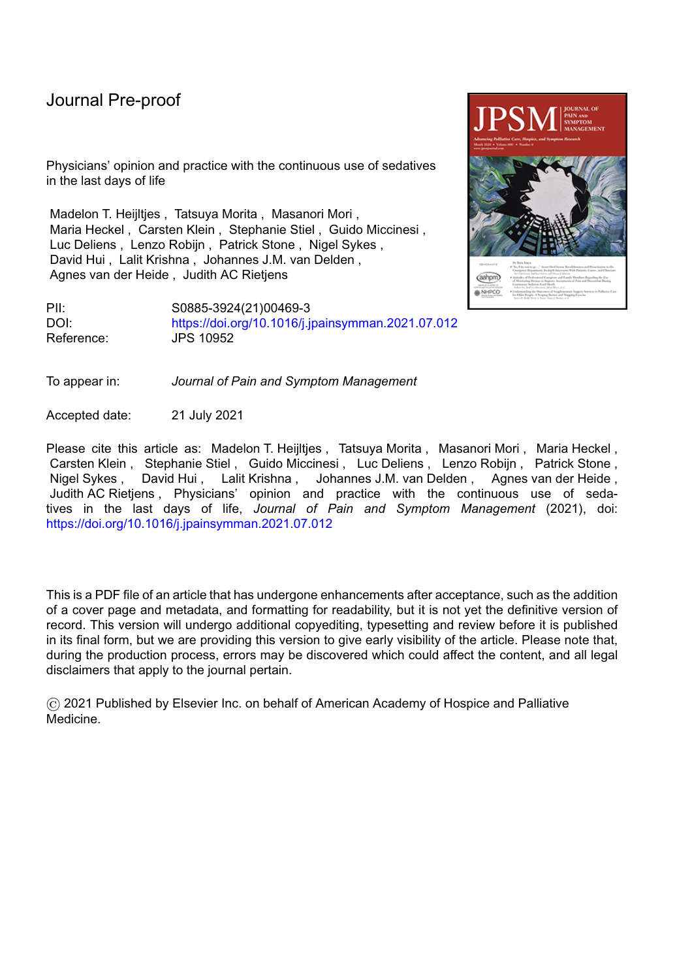| , a competent patient with severe suffering has the<br>the continuous use of sedatives in the last hours to                                  | 147 | 89 | 454 | 83 | 201 | 94          | 485 | 95 | 747 | 91 | 12 | 60 |  |
|----------------------------------------------------------------------------------------------------------------------------------------------|-----|----|-----|----|-----|-------------|-----|----|-----|----|----|----|--|
| us use of sedatives as a means to alleviate severe<br>ast hours to days of life is not necessary, as suffering<br>jeved with other measures. |     |    | 14  |    | 10  |             | 40  | 8  | 22  |    |    | 10 |  |
| is use of sedatives in the last hours to days of life<br>ation of the dying process.                                                         | 25  | 15 | 167 | 31 | 8   | 4           |     | 8  | 141 | 17 |    |    |  |
| inical practice the continuous use of sedatives in the<br>s of life can be difficult to distinguish from euthanasia.                         | 28  |    | 99  | 18 |     |             | 14  | 22 | 63  | 8  |    |    |  |
| us use of sedatives in the last hours to days of life<br>ly alleviate suffering in all patients, even when<br>unresponsive.                  | 41  | 25 | 331 | 61 | 88  | 41          | 257 | 50 | 288 | 35 | 8  | 40 |  |
| eep through the continuous use of sedatives can be a                                                                                         | 143 | 87 | 487 | 90 | 174 | $8^{\circ}$ | 157 | 31 | 758 | 92 | 14 | 70 |  |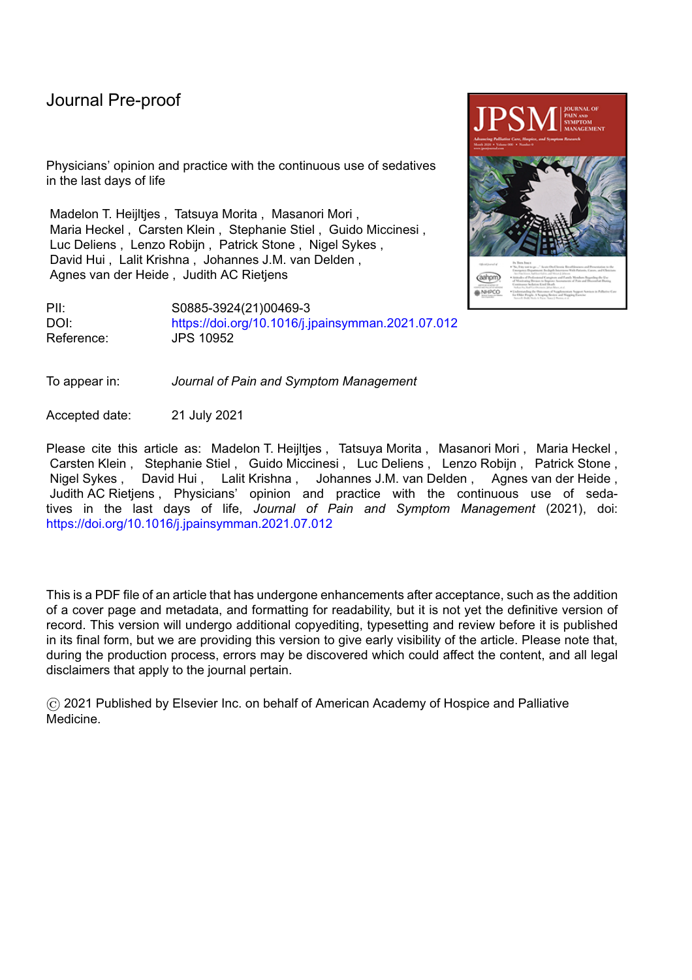

**Figure 1. Percentages of physicians who answered often or always the indicated answer to the**  statements "What is your intention when you provide the continuous use of sedatives in the last hours to days of life"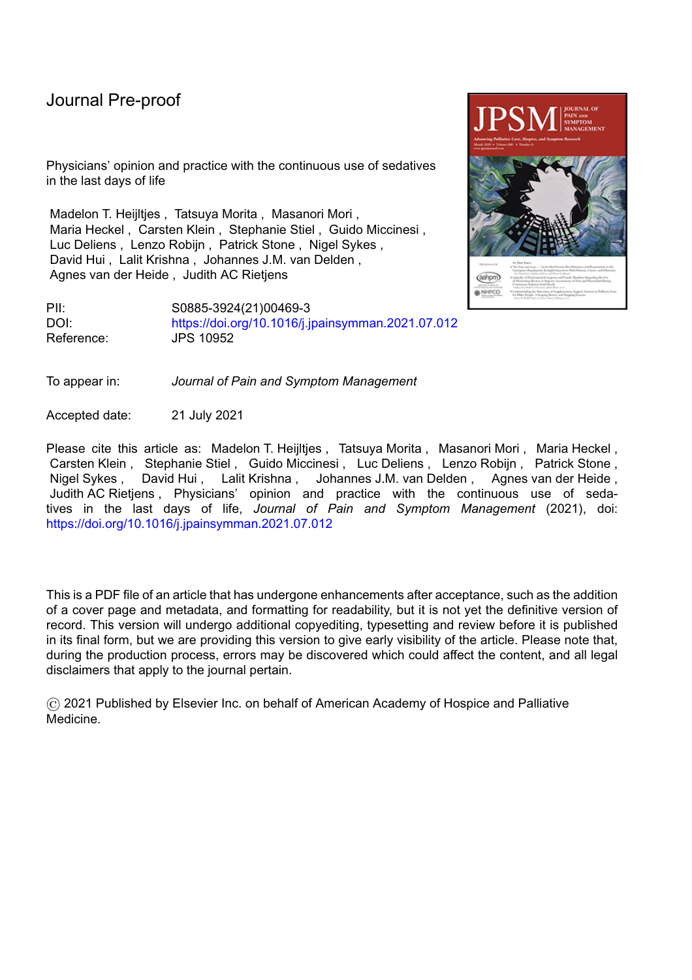

OV.

**Figure 2. Percentages of physicians who often or always involved patients or families in the decisionmaking when providing the continuous use of sedatives as a means to alleviate severe suffering in the last hours to days of life**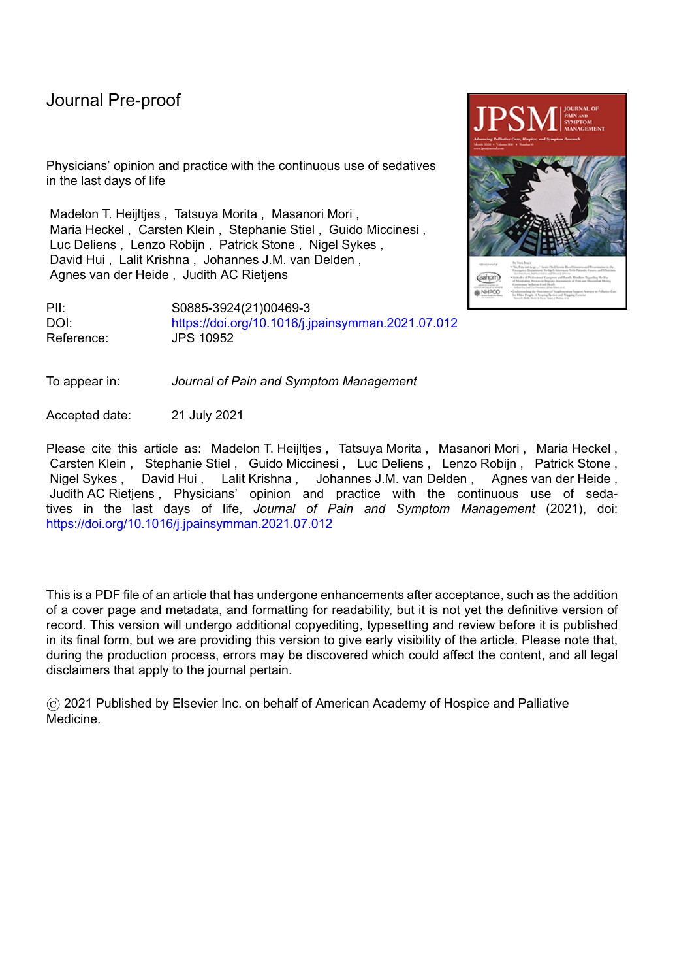

Figure 3. Percentages of physicians who (strongly) agreed with the statement that they would **consider the continuous sedation use of sedatives as an acceptable medical practice in the respective situation.**